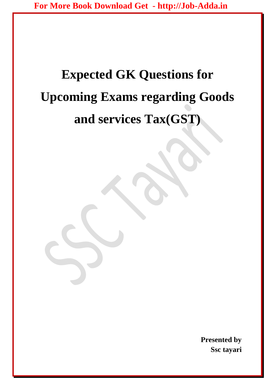# **Expected GK Questions for Upcoming Exams regarding Goods and services Tax(GST)**

**Presented by Ssc tayari**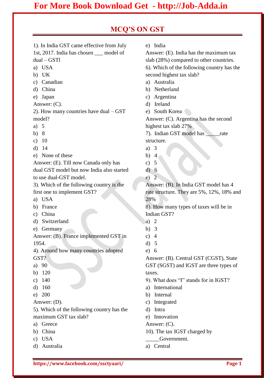## **[For More Book Download Get - http://Job-Adda.in](Job-Adda.in)**

### **MCQ'S ON GST**

1). In India GST came effective from July 1st, 2017. India has chosen \_\_\_ model of dual – GSTl

- a) USA
- b) UK
- c) Canadian
- d) China
- e) Japan
- Answer: (C).

2). How many countries have dual – GST model?

- a) 5
- b) 8
- c) 10
- d) 14
- e) None of these

Answer: (E). Till now Canada only has dual GST model but now India also started

to use dual-GST model.

3). Which of the following country is the first one to implement GST?

- a) USA
- b) France
- c) China
- d) Switzerland
- e) Germany

Answer: (B). France implemented GST in 1954.

4). Around how many countries adopted GST?

- a) 90
- b) 120
- c) 140
- d) 160
- e) 200

Answer: (D).

5). Which of the following country has the maximum GST tax slab?

- a) Greece
- b) China
- c) USA
- d) Australia

e) India

Answer: (E). India has the maximum tax slab (28%) compared to other countries. 6). Which of the following country has the second highest tax slab?

- a) Australia
- b) Netherland
- c) Argentina
- d) Ireland
- e) South Korea

Answer: (C). Argentina has the second highest tax slab 27%

7). Indian GST model has \_\_\_\_\_rate structure.

- a) 3
- b) 4
- c) 5
- d) 6
- e) 2

Answer: (B). In India GST model has 4 rate structure. They are 5%, 12%, 18% and 28%

8). How many types of taxes will be in Indian GST?

- a) 2
- b) 3
- c)  $4$
- d) 5
- e) 6

Answer: (B). Central GST (CGST), State GST (SGST) and IGST are three types of taxes.

- 9). What does "I" stands for in IGST?
- a) International
- b) Internal
- c) Integrated
- d) Intra
- e) Innovation

Answer: (C).

- 10). The tax IGST charged by
- Government.
- a) Central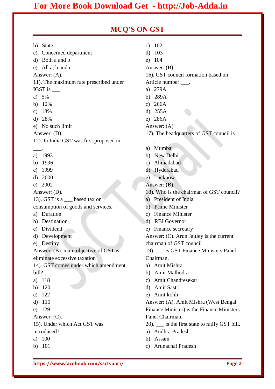## **[For More Book Download Get - http://Job-Adda.in](Job-Adda.in)**

#### **MCQ'S ON GST**

- b) State
- c) Concerned department
- d) Both a and b
- e) All a, b and c
- Answer: (A).

11). The maximum rate prescribed under IGST is \_\_\_.

- a) 5%
- b) 12%
- c) 18%
- d) 28%
- e) No such limit
- Answer: (D).
- 12). In India GST was first proposed in
- a) 1993

\_\_\_.

- b) 1996
- c) 1999
- d) 2000
- e) 2002
- Answer: (D).

13). GST is a based tax on consumption of goods and services.

- a) Duration
- b) Destination
- c) Dividend
- d) Development
- e) Destiny

Answer: (B). main objective of GST is eliminate excessive taxation

14). GST comes under which amendment bill?

- a) 118
- b) 120
- c) 122
- d) 115
- e) 129
- Answer: (C).
- 15). Under which Act GST was introduced?
- a) 100
- b) 101
- c) 102
- d) 103
- e) 104

Answer: (B)

16). GST council formation based on

Article number \_\_\_.

- a) 279A
- b) 289A
- c) 266A
- d) 255A
- e) 286A

Answer: (A)

17). The headquarters of GST council is

a) Mumbai

\_\_\_.

- b) New Delhi
- c) Ahmadabad
- d) Hyderabad
- e) Lucknow
- Answer: (B).
- 18). Who is the chairman of GST council?
- a) President of India
- b) Prime Minister
- c) Finance Minister
- d) RBI Governor
- e) Finance secretary

Answer: (C). Arun Jaitley is the current chairman of GST council

19). is GST Finance Ministers Panel Chairman.

- a) Amit Mishra
- b) Amit Malhodra
- c) Amit Chandresekar
- d) Amit Sastri
- e) Amit kohli

Answer: (A). Amit Mishra (West Bengal Finance Minister) is the Finance Ministers Panel Chairman.

- 20). \_\_\_ is the first state to ratify GST bill.
- a) Andhra Pradesh
- b) Assam
- c) Arunachal Pradesh

**https://www.facebook.com/ssctyaari/ Page 2**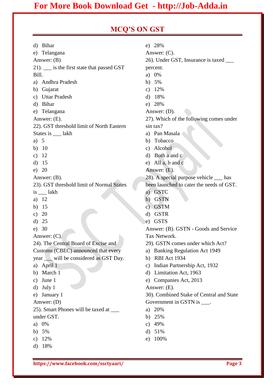## **[For More Book Download Get - http://Job-Adda.in](Job-Adda.in)**

## **MCQ'S ON GST**

| d)                                         | <b>Bihar</b>                              |                                    | e) 28%                                   |
|--------------------------------------------|-------------------------------------------|------------------------------------|------------------------------------------|
|                                            | e) Telangana                              |                                    | Answer: $(C)$ .                          |
| Answer: $(B)$                              |                                           | 26). Under GST, Insurance is taxed |                                          |
| 21). __ is the first state that passed GST |                                           | percent.                           |                                          |
| Bill.                                      |                                           |                                    | a) $0\%$                                 |
|                                            | a) Andhra Pradesh                         |                                    | b) $5%$                                  |
| b)                                         | Gujarat                                   | C)                                 | 12%                                      |
| c)                                         | <b>Uttar Pradesh</b>                      |                                    | $d)$ 18%                                 |
| d)                                         | <b>Bihar</b>                              |                                    | e) 28%                                   |
| e)                                         | Telangana                                 |                                    | Answer: $(D)$ .                          |
|                                            | Answer: $(E)$ .                           |                                    | 27). Which of the following comes under  |
|                                            | 22). GST threshold limit of North Eastern |                                    | sin tax?                                 |
|                                            | States is ____ lakh                       |                                    | a) Pan Masala                            |
| a)                                         | 5                                         |                                    | b) Tobacco                               |
| b)                                         | 10                                        |                                    | c) Alcohol                               |
| c)                                         | 12                                        |                                    | d) Both a and c                          |
| d)                                         | 15                                        |                                    | e) All $a, b$ and $c$                    |
| e)                                         | 20                                        |                                    | Answer: (E).                             |
|                                            | Answer: $(B)$ .                           |                                    | 28). A special purpose vehicle ___ has   |
|                                            | 23). GST threshold limit of Normal States |                                    | been launched to cater the needs of GST. |
|                                            | is lakh                                   |                                    | a) GSTC                                  |
| a)                                         | 12                                        | b)                                 | GSTN                                     |
| b)                                         | 15                                        | C)                                 | <b>GSTM</b>                              |
| c)                                         | 20                                        | d)                                 | <b>GSTR</b>                              |
| d)                                         | 25                                        | e)                                 | <b>GSTS</b>                              |
| e)                                         | 30                                        |                                    | Answer: (B). GSTN - Goods and Service    |
| Answer: $(C)$ .                            |                                           |                                    | Tax Network.                             |
|                                            | 24). The Central Board of Excise and      |                                    | 29). GSTN comes under which Act?         |
|                                            | Customs (CBEC) announced that every       | a)                                 | <b>Banking Regulation Act 1949</b>       |
|                                            | year will be considered as GST Day.       | b)                                 | RBI Act 1934                             |
| a)                                         | April 1                                   |                                    | c) Indian Partnership Act, 1932          |
| b)                                         | March 1                                   |                                    | d) Limitation Act, 1963                  |
| C)                                         | June 1                                    |                                    | e) Companies Act, 2013                   |
| d)                                         | July 1                                    |                                    | Answer: $(E)$ .                          |
| e)                                         | January 1                                 |                                    | 30). Combined Stake of Central and State |
| Answer: $(D)$                              |                                           |                                    | Government in GSTN is ____.              |
|                                            | 25). Smart Phones will be taxed at _____  |                                    | a) $20%$                                 |
| under GST.                                 |                                           | b)                                 | 25%                                      |
| a)                                         | 0%                                        | C)                                 | 49%                                      |
| b)                                         | 5%                                        | d)                                 | 51%                                      |
| c)                                         | 12%                                       | e)                                 | 100%                                     |
| d)                                         | 18%                                       |                                    |                                          |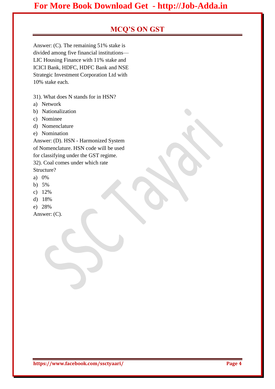## **MCQ'S ON GST**

Answer: (C). The remaining 51% stake is divided among five financial institutions— LIC Housing Finance with 11% stake and ICICI Bank, HDFC, HDFC Bank and NSE Strategic Investment Corporation Ltd with 10% stake each.

31). What does N stands for in HSN?

- a) Network
- b) Nationalization
- c) Nominee
- d) Nomenclature
- e) Nomination

Answer: (D). HSN - Harmonized System of Nomenclature. HSN code will be used for classifying under the GST regime. 32). Coal comes under which rate

Structure?

- a) 0%
- b) 5%
- c) 12%
- d) 18%
- e) 28%

Answer: (C).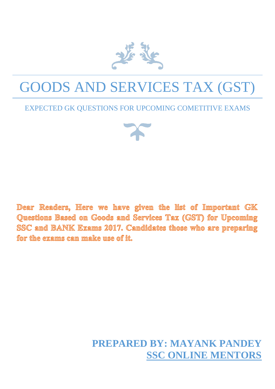

## GOODS AND SERVICES TAX (GST)

## EXPECTED GK QUESTIONS FOR UPCOMING COMETITIVE EXAMS



Dear Readers, Here we have given the list of Important GK Questions Based on Goods and Services Tax (GST) for Upcoming SSC amd BANK Exams 2017. Candidates those who are preparing for the exams can make use of it.

## **PREPARED BY: MAYANK PANDEY SSC ONLINE MENTORS**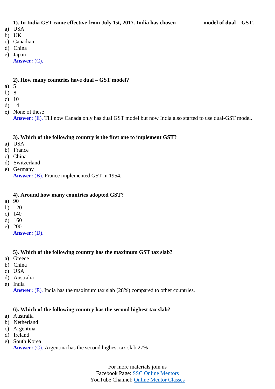## **1). In India GST came effective from July 1st, 2017. India has chosen \_\_\_\_\_\_\_\_\_ model of dual – GST.**

- a) USA
- b) UK
- c) Canadian
- d) China
- e) Japan
	- **Answer:** (C).

#### **2). How many countries have dual – GST model?**

- a) 5
- b) 8
- c) 10
- d) 14
- e) None of these

**Answer:** (E). Till now Canada only has dual GST model but now India also started to use dual-GST model.

#### **3). Which of the following country is the first one to implement GST?**

- a) USA
- b) France
- c) China
- d) Switzerland
- e) Germany **Answer:** (B). France implemented GST in 1954.
	-

#### **4). Around how many countries adopted GST?**

- a) 90
- b) 120
- c) 140
- d) 160
- e) 200
	- **Answer:** (D).

#### **5). Which of the following country has the maximum GST tax slab?**

- a) Greece
- b) China
- c) USA
- d) Australia
- e) India

**Answer:** (E). India has the maximum tax slab (28%) compared to other countries.

#### **6). Which of the following country has the second highest tax slab?**

- a) Australia
- b) Netherland
- c) Argentina
- d) Ireland
- e) South Korea

**Answer:** (C). Argentina has the second highest tax slab 27%

For more materials join us Facebook Page: [SSC Online Mentors](https://www.facebook.com/onlinementorclasses/) YouTube Channel: [Online Mentor Classes](https://www.youtube.com/channel/UC2PWTsNNxgBq9JYBsYquGzA)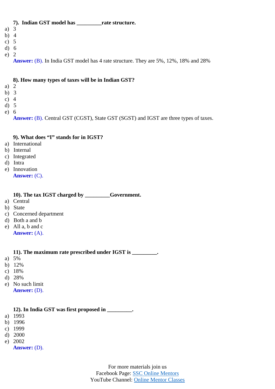#### **7). Indian GST model has \_\_\_\_\_\_\_\_\_rate structure.** a) 3 b) 4 c) 5 d) 6 e) 2

**Answer:** (B). In India GST model has 4 rate structure. They are 5%, 12%, 18% and 28%

#### **8). How many types of taxes will be in Indian GST?**

- a) 2
- b) 3
- c) 4
- d) 5
- e) 6

**Answer:** (B). Central GST (CGST), State GST (SGST) and IGST are three types of taxes.

#### **9). What does "I" stands for in IGST?**

- a) International
- b) Internal
- c) Integrated
- d) Intra
- e) Innovation **Answer:** (C).

#### **10). The tax IGST charged by \_\_\_\_\_\_\_\_\_Government.**

- a) Central
- b) State
- c) Concerned department
- d) Both a and b
- e) All a, b and c
- **Answer:** (A).

#### **11). The maximum rate prescribed under IGST is \_\_\_\_\_\_\_\_\_.**

- a) 5%
- b) 12%
- c) 18%
- d) 28%
- e) No such limit **Answer:** (D).

#### **12). In India GST was first proposed in \_\_\_\_\_\_\_\_\_.**

- a) 1993
- b) 1996
- c) 1999
- d) 2000
- e) 2002

**Answer:** (D).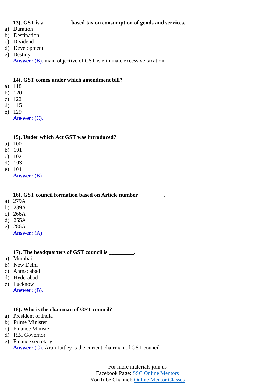#### **13). GST is a \_\_\_\_\_\_\_\_\_ based tax on consumption of goods and services.**

- a) Duration
- b) Destination
- c) Dividend
- d) Development
- e) Destiny
	- **Answer:** (B). main objective of GST is eliminate excessive taxation

#### **14). GST comes under which amendment bill?**

- a) 118
- b) 120
- c) 122
- d) 115
- e) 129
	- **Answer:** (C).

#### **15). Under which Act GST was introduced?**

- a) 100
- b) 101
- c) 102
- d) 103
- e) 104
	- **Answer:** (B)

**16). GST council formation based on Article number \_\_\_\_\_\_\_\_\_.**

- a) 279A
- b) 289A
- c) 266A
- d) 255A
- e) 286A
	- **Answer:** (A)

#### **17). The headquarters of GST council is \_\_\_\_\_\_\_\_\_.**

- a) Mumbai
- b) New Delhi
- c) Ahmadabad
- d) Hyderabad
- e) Lucknow **Answer:** (B).

#### **18). Who is the chairman of GST council?**

- a) President of India
- b) Prime Minister
- c) Finance Minister
- d) RBI Governor
- e) Finance secretary

**Answer:** (C). Arun Jaitley is the current chairman of GST council

For more materials join us Facebook Page: [SSC Online Mentors](https://www.facebook.com/onlinementorclasses/) YouTube Channel: [Online Mentor Classes](https://www.youtube.com/channel/UC2PWTsNNxgBq9JYBsYquGzA)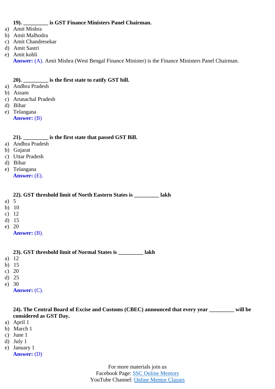#### **19). \_\_\_\_\_\_\_\_\_ is GST Finance Ministers Panel Chairman.**

- a) Amit Mishra
- b) Amit Malhodra
- c) Amit Chandresekar
- d) Amit Sastri
- e) Amit kohli
	- **Answer:** (A). Amit Mishra (West Bengal Finance Minister) is the Finance Ministers Panel Chairman.

#### **20). \_\_\_\_\_\_\_\_\_ is the first state to ratify GST bill.**

- a) Andhra Pradesh
- b) Assam
- c) Arunachal Pradesh
- d) Bihar
- e) Telangana **Answer:** (B)

#### **21). \_\_\_\_\_\_\_\_\_ is the first state that passed GST Bill.**

- a) Andhra Pradesh
- b) Gujarat
- c) Uttar Pradesh
- d) Bihar
- e) Telangana **Answer:** (E).

#### **22). GST threshold limit of North Eastern States is \_\_\_\_\_\_\_\_\_ lakh**

- a) 5
- b) 10
- c) 12
- d) 15
- e) 20
	- **Answer:** (B).

#### **23). GST threshold limit of Normal States is \_\_\_\_\_\_\_\_\_ lakh**

- a) 12
- b) 15
- c) 20
- d) 25
- e) 30
	- **Answer:** (C).

#### **24). The Central Board of Excise and Customs (CBEC) announced that every year \_\_\_\_\_\_\_\_\_ will be considered as GST Day.**

- a) April 1
- b) March 1
- c) June 1
- d) July 1
- e) January 1 **Answer:** (D)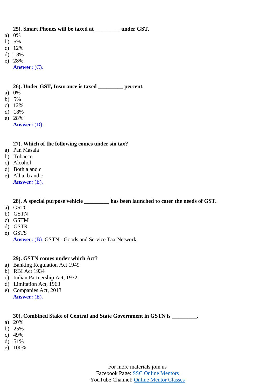#### **25). Smart Phones will be taxed at \_\_\_\_\_\_\_\_\_ under GST.**

- a) 0%
- b) 5%
- c) 12%
- d) 18%
- e) 28%

**Answer:** (C).

#### **26). Under GST, Insurance is taxed \_\_\_\_\_\_\_\_\_ percent.**

- a) 0%
- b) 5%
- c) 12%
- d) 18%
- e) 28%
	- **Answer:** (D).

#### **27). Which of the following comes under sin tax?**

- a) Pan Masala
- b) Tobacco
- c) Alcohol
- d) Both a and c
- e) All a, b and c **Answer:** (E).

#### **28). A special purpose vehicle \_\_\_\_\_\_\_\_\_ has been launched to cater the needs of GST.**

- a) GSTC
- b) GSTN
- c) GSTM
- d) GSTR
- e) GSTS
	- **Answer:** (B). GSTN Goods and Service Tax Network.

#### **29). GSTN comes under which Act?**

- a) Banking Regulation Act 1949
- b) RBI Act 1934
- c) Indian Partnership Act, 1932
- d) Limitation Act, 1963
- e) Companies Act, 2013 **Answer:** (E).

#### **30). Combined Stake of Central and State Government in GSTN is \_\_\_\_\_\_\_\_\_.**

- a) 20%
- b) 25%
- c) 49%
- d) 51%
- e) 100%